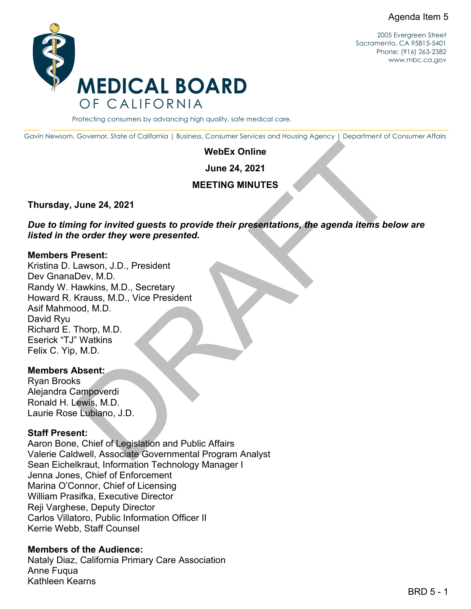

2005 Evergreen Street Sacramento, CA 95815-5401 Phone: (916) 263-2382 [www.mbc.ca.gov](http://www.mbc.ca.gov/) 

#### Protecting consumers by advancing high quality, safe medical care.

Gavin Newsom, Governor, State of California | Business, Consumer Services and Housing Agency | Department of Consumer Affairs

#### **WebEx Online**

**June 24, 2021** 

### **MEETING MINUTES**

### **Thursday, June 24, 2021**

*Due to timing for invited guests to provide their presentations, the agenda items below are listed in the order they were presented.* 

### **Members Present:**

WebEx Online<br>
June 24, 2021<br>
MEETING MINUTES<br>
June 24, 2021<br>
MEETING MINUTES<br>
June 24, 2021<br>
MEETING MINUTES<br>
awason, J.D., President<br>
Pev, M.D.<br>
Krauss, M.D., Nice President<br>
Krauss, M.D., Vice President<br>
Makhann<br>
M.D.<br>
M Kristina D. Lawson, J.D., President Dev GnanaDev, M.D. Randy W. Hawkins, M.D., Secretary Howard R. Krauss, M.D., Vice President Asif Mahmood, M.D. David Ryu Richard E. Thorp, M.D. Eserick "TJ" Watkins Felix C. Yip, M.D.

#### **Members Absent:**

Ryan Brooks Alejandra Campoverdi Ronald H. Lewis, M.D. Laurie Rose Lubiano, J.D.

### **Staff Present:**

Aaron Bone, Chief of Legislation and Public Affairs Valerie Caldwell, Associate Governmental Program Analyst Sean Eichelkraut, Information Technology Manager I Jenna Jones, Chief of Enforcement Marina O'Connor, Chief of Licensing William Prasifka, Executive Director Reji Varghese, Deputy Director Carlos Villatoro, Public Information Officer II Kerrie Webb, Staff Counsel

### **Members of the Audience:**

Nataly Diaz, California Primary Care Association Anne Fuqua Kathleen Kearns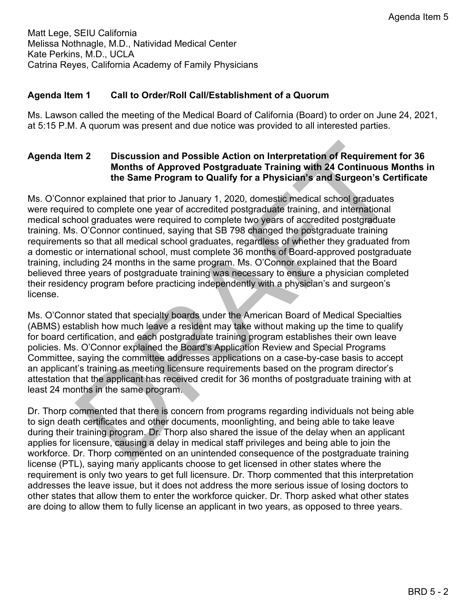Matt Lege, SEIU California Melissa Nothnagle, M.D., Natividad Medical Center Kate Perkins, M.D., UCLA Catrina Reyes, California Academy of Family Physicians

# **Agenda Item 1 Call to Order/Roll Call/Establishment of a Quorum**

 at 5:15 P.M. A quorum was present and due notice was provided to all interested parties. Ms. Lawson called the meeting of the Medical Board of California (Board) to order on June 24, 2021,

# **Agenda Item 2 Discussion and Possible Action on Interpretation of Requirement for 36 Months of Approved Postgraduate Training with 24 Continuous Months in the Same Program to Qualify for a Physician's and Surgeon's Certificate**

m 2 Discussion and Possible Action on Interpretation of Requirement for 3<br>
Months of Approved Postgraduate Training with 24 Continuous Month<br>
the Same Program to Qualify for a Physician's and Surgeon's Certifica<br>
nor expl Ms. O'Connor explained that prior to January 1, 2020, domestic medical school graduates were required to complete one year of accredited postgraduate training, and international medical school graduates were required to complete two years of accredited postgraduate training. Ms. O'Connor continued, saying that SB 798 changed the postgraduate training requirements so that all medical school graduates, regardless of whether they graduated from a domestic or international school, must complete 36 months of Board-approved postgraduate training, including 24 months in the same program. Ms. O'Connor explained that the Board believed three years of postgraduate training was necessary to ensure a physician completed their residency program before practicing independently with a physician's and surgeon's license.

 attestation that the applicant has received credit for 36 months of postgraduate training with at Ms. O'Connor stated that specialty boards under the American Board of Medical Specialties (ABMS) establish how much leave a resident may take without making up the time to qualify for board certification, and each postgraduate training program establishes their own leave policies. Ms. O'Connor explained the Board's Application Review and Special Programs Committee, saying the committee addresses applications on a case-by-case basis to accept an applicant's training as meeting licensure requirements based on the program director's least 24 months in the same program.

 Dr. Thorp commented that there is concern from programs regarding individuals not being able to sign death certificates and other documents, moonlighting, and being able to take leave during their training program. Dr. Thorp also shared the issue of the delay when an applicant applies for licensure, causing a delay in medical staff privileges and being able to join the workforce. Dr. Thorp commented on an unintended consequence of the postgraduate training license (PTL), saying many applicants choose to get licensed in other states where the requirement is only two years to get full licensure. Dr. Thorp commented that this interpretation addresses the leave issue, but it does not address the more serious issue of losing doctors to other states that allow them to enter the workforce quicker. Dr. Thorp asked what other states are doing to allow them to fully license an applicant in two years, as opposed to three years.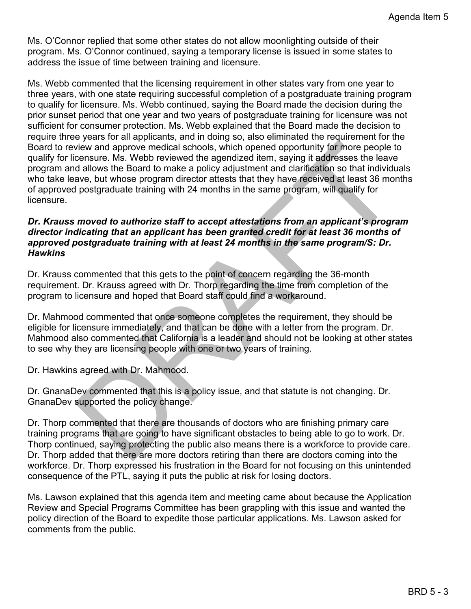Ms. O'Connor replied that some other states do not allow moonlighting outside of their address the issue of time between training and licensure. program. Ms. O'Connor continued, saying a temporary license is issued in some states to

view and approve medical schools, which opened opportunity for more people to<br>ensusue. Ms. Webb reviewed the agendized item, saying it addresses the leave<br>dialows the Board to make a policy adjustment and clarification so Ms. Webb commented that the licensing requirement in other states vary from one year to three years, with one state requiring successful completion of a postgraduate training program to qualify for licensure. Ms. Webb continued, saying the Board made the decision during the prior sunset period that one year and two years of postgraduate training for licensure was not sufficient for consumer protection. Ms. Webb explained that the Board made the decision to require three years for all applicants, and in doing so, also eliminated the requirement for the Board to review and approve medical schools, which opened opportunity for more people to qualify for licensure. Ms. Webb reviewed the agendized item, saying it addresses the leave program and allows the Board to make a policy adjustment and clarification so that individuals who take leave, but whose program director attests that they have received at least 36 months of approved postgraduate training with 24 months in the same program, will qualify for licensure.

# *Dr. Krauss moved to authorize staff to accept attestations from an applicant's program director indicating that an applicant has been granted credit for at least 36 months of approved postgraduate training with at least 24 months in the same program/S: Dr. Hawkins*

 Dr. Krauss commented that this gets to the point of concern regarding the 36-month requirement. Dr. Krauss agreed with Dr. Thorp regarding the time from completion of the program to licensure and hoped that Board staff could find a workaround.

Dr. Mahmood commented that once someone completes the requirement, they should be eligible for licensure immediately, and that can be done with a letter from the program. Dr. Mahmood also commented that California is a leader and should not be looking at other states to see why they are licensing people with one or two years of training.

Dr. Hawkins agreed with Dr. Mahmood.

Dr. GnanaDev commented that this is a policy issue, and that statute is not changing. Dr. GnanaDev supported the policy change.

 Dr. Thorp commented that there are thousands of doctors who are finishing primary care training programs that are going to have significant obstacles to being able to go to work. Dr. Thorp continued, saying protecting the public also means there is a workforce to provide care. Dr. Thorp added that there are more doctors retiring than there are doctors coming into the workforce. Dr. Thorp expressed his frustration in the Board for not focusing on this unintended consequence of the PTL, saying it puts the public at risk for losing doctors.

 Ms. Lawson explained that this agenda item and meeting came about because the Application Review and Special Programs Committee has been grappling with this issue and wanted the policy direction of the Board to expedite those particular applications. Ms. Lawson asked for comments from the public.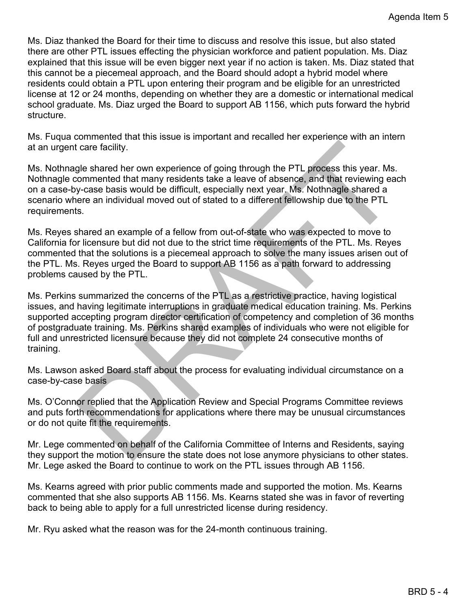Ms. Diaz thanked the Board for their time to discuss and resolve this issue, but also stated there are other PTL issues effecting the physician workforce and patient population. Ms. Diaz explained that this issue will be even bigger next year if no action is taken. Ms. Diaz stated that this cannot be a piecemeal approach, and the Board should adopt a hybrid model where residents could obtain a PTL upon entering their program and be eligible for an unrestricted license at 12 or 24 months, depending on whether they are a domestic or international medical school graduate. Ms. Diaz urged the Board to support AB 1156, which puts forward the hybrid structure.

Ms. Fuqua commented that this issue is important and recalled her experience with an intern at an urgent care facility.

 scenario where an individual moved out of stated to a different fellowship due to the PTL Ms. Nothnagle shared her own experience of going through the PTL process this year. Ms. Nothnagle commented that many residents take a leave of absence, and that reviewing each on a case-by-case basis would be difficult, especially next year. Ms. Nothnagle shared a requirements.

 California for licensure but did not due to the strict time requirements of the PTL. Ms. Reyes problems caused by the PTL. Ms. Reyes shared an example of a fellow from out-of-state who was expected to move to commented that the solutions is a piecemeal approach to solve the many issues arisen out of the PTL. Ms. Reyes urged the Board to support AB 1156 as a path forward to addressing

diatere facility.<br>
gle shared her own experience of going through the PTL process this year. Ms.<br>
gle shared her many residents take a leave of absence, and that reviewing each<br>
grow-mended that many residents take a leave Ms. Perkins summarized the concerns of the PTL as a restrictive practice, having logistical supported accepting program director certification of competency and completion of 36 months issues, and having legitimate interruptions in graduate medical education training. Ms. Perkins of postgraduate training. Ms. Perkins shared examples of individuals who were not eligible for full and unrestricted licensure because they did not complete 24 consecutive months of training.

Ms. Lawson asked Board staff about the process for evaluating individual circumstance on a case-by-case basis

 or do not quite fit the requirements. Ms. O'Connor replied that the Application Review and Special Programs Committee reviews and puts forth recommendations for applications where there may be unusual circumstances

Mr. Lege commented on behalf of the California Committee of Interns and Residents, saying they support the motion to ensure the state does not lose anymore physicians to other states. Mr. Lege asked the Board to continue to work on the PTL issues through AB 1156.

 commented that she also supports AB 1156. Ms. Kearns stated she was in favor of reverting Ms. Kearns agreed with prior public comments made and supported the motion. Ms. Kearns back to being able to apply for a full unrestricted license during residency.

Mr. Ryu asked what the reason was for the 24-month continuous training.